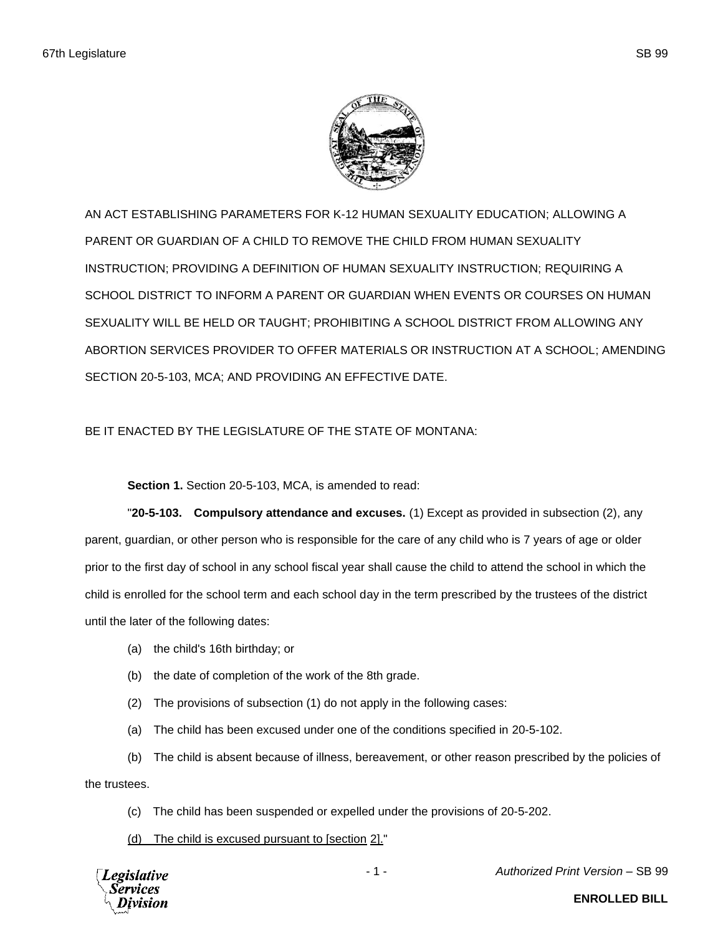

AN ACT ESTABLISHING PARAMETERS FOR K-12 HUMAN SEXUALITY EDUCATION; ALLOWING A PARENT OR GUARDIAN OF A CHILD TO REMOVE THE CHILD FROM HUMAN SEXUALITY INSTRUCTION; PROVIDING A DEFINITION OF HUMAN SEXUALITY INSTRUCTION; REQUIRING A SCHOOL DISTRICT TO INFORM A PARENT OR GUARDIAN WHEN EVENTS OR COURSES ON HUMAN SEXUALITY WILL BE HELD OR TAUGHT; PROHIBITING A SCHOOL DISTRICT FROM ALLOWING ANY ABORTION SERVICES PROVIDER TO OFFER MATERIALS OR INSTRUCTION AT A SCHOOL; AMENDING SECTION 20-5-103, MCA; AND PROVIDING AN EFFECTIVE DATE.

## BE IT ENACTED BY THE LEGISLATURE OF THE STATE OF MONTANA:

**Section 1.** Section 20-5-103, MCA, is amended to read:

"**20-5-103. Compulsory attendance and excuses.** (1) Except as provided in subsection (2), any parent, guardian, or other person who is responsible for the care of any child who is 7 years of age or older prior to the first day of school in any school fiscal year shall cause the child to attend the school in which the child is enrolled for the school term and each school day in the term prescribed by the trustees of the district until the later of the following dates:

- (a) the child's 16th birthday; or
- (b) the date of completion of the work of the 8th grade.
- (2) The provisions of subsection (1) do not apply in the following cases:
- (a) The child has been excused under one of the conditions specified in 20-5-102.

(b) The child is absent because of illness, bereavement, or other reason prescribed by the policies of the trustees.

(c) The child has been suspended or expelled under the provisions of 20-5-202.

(d) The child is excused pursuant to [section 2]."

egislative

- 1 - *Authorized Print Version* – SB 99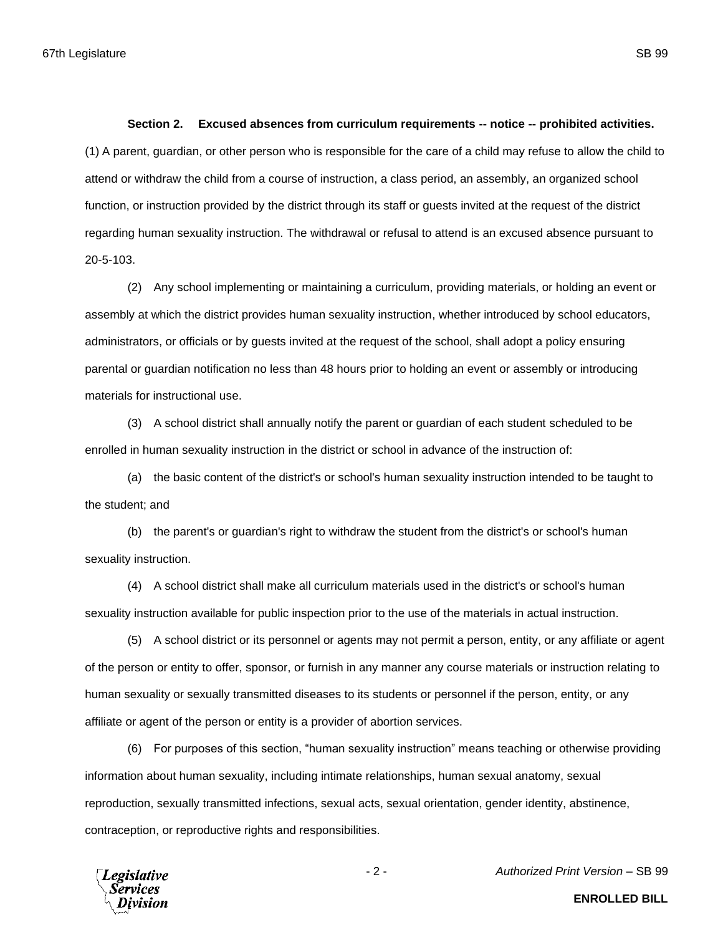## **Section 2. Excused absences from curriculum requirements -- notice -- prohibited activities.**

(1) A parent, guardian, or other person who is responsible for the care of a child may refuse to allow the child to attend or withdraw the child from a course of instruction, a class period, an assembly, an organized school function, or instruction provided by the district through its staff or guests invited at the request of the district regarding human sexuality instruction. The withdrawal or refusal to attend is an excused absence pursuant to 20-5-103.

(2) Any school implementing or maintaining a curriculum, providing materials, or holding an event or assembly at which the district provides human sexuality instruction, whether introduced by school educators, administrators, or officials or by guests invited at the request of the school, shall adopt a policy ensuring parental or guardian notification no less than 48 hours prior to holding an event or assembly or introducing materials for instructional use.

(3) A school district shall annually notify the parent or guardian of each student scheduled to be enrolled in human sexuality instruction in the district or school in advance of the instruction of:

(a) the basic content of the district's or school's human sexuality instruction intended to be taught to the student; and

(b) the parent's or guardian's right to withdraw the student from the district's or school's human sexuality instruction.

(4) A school district shall make all curriculum materials used in the district's or school's human sexuality instruction available for public inspection prior to the use of the materials in actual instruction.

(5) A school district or its personnel or agents may not permit a person, entity, or any affiliate or agent of the person or entity to offer, sponsor, or furnish in any manner any course materials or instruction relating to human sexuality or sexually transmitted diseases to its students or personnel if the person, entity, or any affiliate or agent of the person or entity is a provider of abortion services.

(6) For purposes of this section, "human sexuality instruction" means teaching or otherwise providing information about human sexuality, including intimate relationships, human sexual anatomy, sexual reproduction, sexually transmitted infections, sexual acts, sexual orientation, gender identity, abstinence, contraception, or reproductive rights and responsibilities.

**Legislative** Services

- 2 - *Authorized Print Version* – SB 99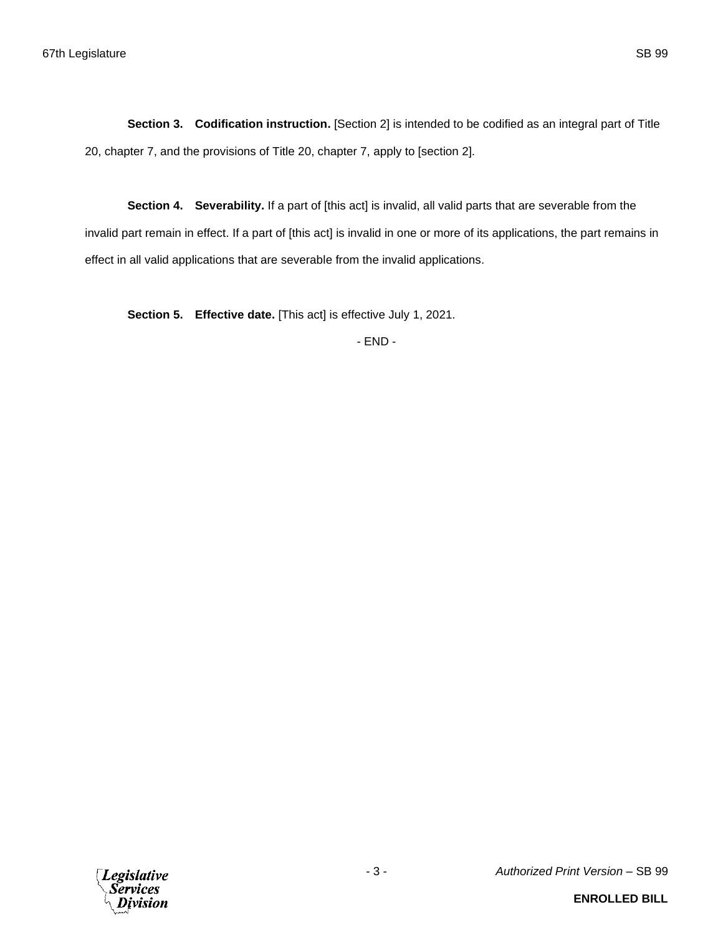**Section 3. Codification instruction.** [Section 2] is intended to be codified as an integral part of Title 20, chapter 7, and the provisions of Title 20, chapter 7, apply to [section 2].

**Section 4. Severability.** If a part of [this act] is invalid, all valid parts that are severable from the invalid part remain in effect. If a part of [this act] is invalid in one or more of its applications, the part remains in effect in all valid applications that are severable from the invalid applications.

**Section 5. Effective date.** [This act] is effective July 1, 2021.

- END -

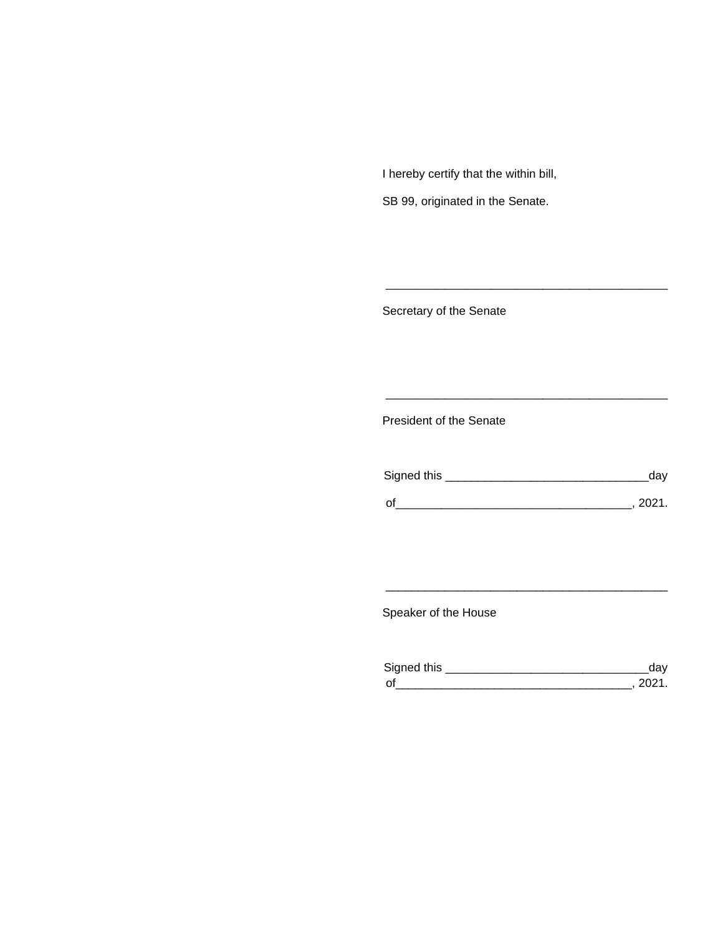I hereby certify that the within bill,

SB 99, originated in the Senate.

Secretary of the Senate

President of the Senate

| Signed this | ua     |
|-------------|--------|
|             |        |
| $\Omega$    | יניחכי |

\_\_\_\_\_\_\_\_\_\_\_\_\_\_\_\_\_\_\_\_\_\_\_\_\_\_\_\_\_\_\_\_\_\_\_\_\_\_\_\_\_\_\_

\_\_\_\_\_\_\_\_\_\_\_\_\_\_\_\_\_\_\_\_\_\_\_\_\_\_\_\_\_\_\_\_\_\_\_\_\_\_\_\_\_\_\_

Speaker of the House

| Signed this        |  |
|--------------------|--|
| $\mathsf{\Omega}'$ |  |

\_\_\_\_\_\_\_\_\_\_\_\_\_\_\_\_\_\_\_\_\_\_\_\_\_\_\_\_\_\_\_\_\_\_\_\_\_\_\_\_\_\_\_